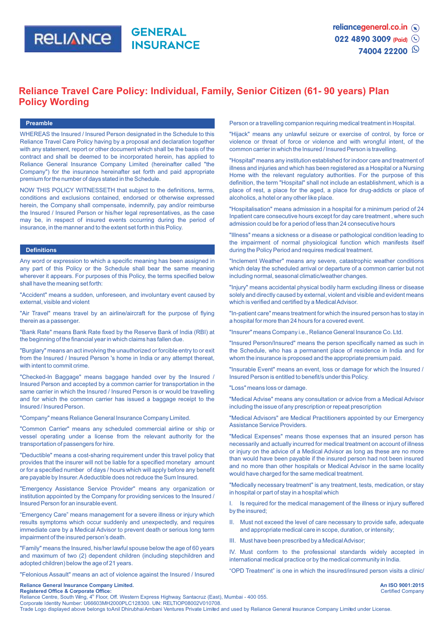

# **Reliance Travel Care Policy: Individual, Family, Senior Citizen (61- 90 years) Plan Policy Wording**

#### **Preamble**

WHEREAS the Insured / Insured Person designated in the Schedule to this Reliance Travel Care Policy having by a proposal and declaration together with any statement, report or other document which shall be the basis of the contract and shall be deemed to be incorporated herein, has applied to Reliance General Insurance Company Limited (hereinafter called "the Company") for the insurance hereinafter set forth and paid appropriate premium for the number of days stated in the Schedule.

NOW THIS POLICY WITNESSETH that subject to the definitions, terms, conditions and exclusions contained, endorsed or otherwise expressed herein, the Company shall compensate, indemnify, pay and/or reimburse the Insured / Insured Person or his/her legal representatives, as the case may be, in respect of insured events occurring during the period of insurance, in the manner and to the extent set forth in this Policy.

# **Definitions**

Any word or expression to which a specific meaning has been assigned in any part of this Policy or the Schedule shall bear the same meaning wherever it appears. For purposes of this Policy, the terms specified below shall have the meaning set forth:

"Accident" means a sudden, unforeseen, and involuntary event caused by external, visible and violent

"Air Travel" means travel by an airline/aircraft for the purpose of flying therein as a passenger.

"Bank Rate" means Bank Rate fixed by the Reserve Bank of India (RBI) at the beginning of the financial year in which claims has fallen due.

"Burglary" means an act involving the unauthorized or forcible entry to or exit from the Insured / Insured Person 's home in India or any attempt thereat, with intent to commit crime.

"Checked-ln Baggage" means baggage handed over by the Insured / Insured Person and accepted by a common carrier for transportation in the same carrier in which the Insured / Insured Person is or would be travelling and for which the common carrier has issued a baggage receipt to the Insured / Insured Person.

"Company" means Reliance General Insurance Company Limited.

"Common Carrier" means any scheduled commercial airline or ship or vessel operating under a license from the relevant authority for the transportation of passengers for hire.

"Deductible" means a cost-sharing requirement under this travel policy that provides that the insurer will not be liable for a specified monetary amount or for a specified number of days / hours which will apply before any benefit are payable by Insurer. Adeductible does not reduce the Sum Insured.

"Emergency Assistance Service Provider" means any organization or institution appointed by the Company for providing services to the Insured / Insured Person for an insurable event.

"Emergency Care" means management for a severe illness or injury which results symptoms which occur suddenly and unexpectedly, and requires immediate care by a Medical Advisor to prevent death or serious long term impairment of the insured person's death.

"Family" means the Insured, his/her lawful spouse below the age of 60 years and maximum of two (2) dependent children (including stepchildren and adopted children) below the age of 21 years.

"Felonious Assault" means an act of violence against the Insured / Insured

**Reliance General Insurance Company Limited.** 

### Person or a travelling companion requiring medical treatment in Hospital.

"Hijack" means any unlawful seizure or exercise of control, by force or violence or threat of force or violence and with wrongful intent, of the common carrier in which the Insured / Insured Person is travelling.

"Hospital" means any institution established for indoor care and treatment of illness and injuries and which has been registered as a Hospital or a Nursing Home with the relevant regulatory authorities. For the purpose of this definition, the term "Hospital" shall not include an establishment, which is a place of rest, a place for the aged, a place for drug-addicts or place of alcoholics, a hotel or any other like place.

"Hospitalisation" means admission in a hospital for a minimum period of 24 Inpatient care consecutive hours except for day care treatment , where such admission could be for a period of less than 24 consecutive hours

"Illness" means a sickness or a disease or pathological condition leading to the impairment of normal physiological function which manifests itself during the Policy Period and requires medical treatment.

"Inclement Weather" means any severe, catastrophic weather conditions which delay the scheduled arrival or departure of a common carrier but not including normal, seasonal climatic/weather changes.

"Injury" means accidental physical bodily harm excluding illness or disease solely and directly caused by external, violent and visible and evident means which is verified and certified by a Medical Advisor.

"In-patient care" means treatment for which the insured person has to stay in a hospital for more than 24 hours for a covered event.

"Insurer" means Company i.e., Reliance General Insurance Co. Ltd.

"Insured Person/Insured" means the person specifically named as such in the Schedule, who has a permanent place of residence in India and for whom the insurance is proposed and the appropriate premium paid.

"Insurable Event" means an event, loss or damage for which the Insured / Insured Person is entitled to benefit/s under this Policy.

"Loss" means loss or damage.

"Medical Advise" means any consultation or advice from a Medical Advisor including the issue of any prescription or repeat prescription

"Medical Advisors" are Medical Practitioners appointed by our Emergency Assistance Service Providers.

"Medical Expenses" means those expenses that an insured person has necessarily and actually incurred for medical treatment on account of illness or injury on the advice of a Medical Advisor as long as these are no more than would have been payable if the insured person had not been insured and no more than other hospitals or Medical Advisor in the same locality would have charged for the same medical treatment.

"Medically necessary treatment" is any treatment, tests, medication, or stay in hospital or part of stay in a hospital which

I. Is required for the medical management of the illness or injury suffered by the insured;

- II. Must not exceed the level of care necessary to provide safe, adequate and appropriate medical care in scope, duration, or intensity;
- III. Must have been prescribed by a Medical Advisor;

IV. Must conform to the professional standards widely accepted in international medical practice or by the medical community in India.

"OPD Treatment" is one in which the insured/insured person visits a clinic/

**Registered Office & Corporate Office:**<br>Reliance Centre, South Wing, 4<sup>th</sup> Floor, Off. Western Express Highway, Santacruz (East), Mumbai - 400 055. Corporate Identity Number: U66603MH2000PLC128300. UN: RELTIOP08002V010708.

Trade Logo displayed above belongs to Anil Dhirubhai Ambani Ventures Private Limited and used by Reliance General Insurance Company Limited under License.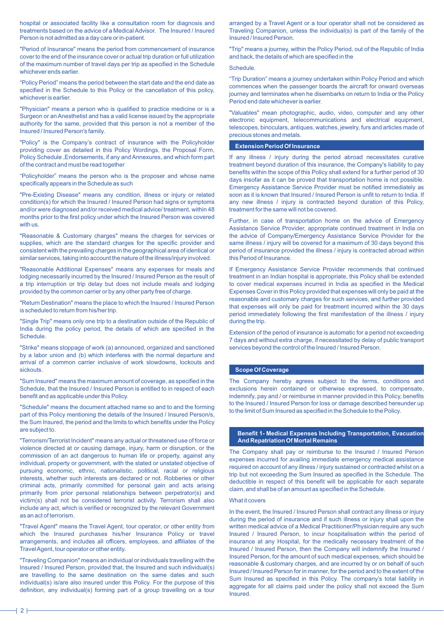hospital or associated facility like a consultation room for diagnosis and treatments based on the advice of a Medical Advisor. The Insured / Insured Person is not admitted as a day care or in-patient.

"Period of Insurance" means the period from commencement of insurance cover to the end of the insurance cover or actual trip duration or full utilization of the maximum number of travel days per trip as specified in the Schedule whichever ends earlier.

"Policy Period" means the period between the start date and the end date as specified in the Schedule to this Policy or the cancellation of this policy, whichever is earlier.

"Physician" means a person who is qualified to practice medicine or is a Surgeon or an Anesthetist and has a valid license issued by the appropriate authority for the same, provided that this person is not a member of the Insured / Insured Person's family.

"Policy" is the Company's contract of insurance with the Policyholder providing cover as detailed in this Policy Wordings, the Proposal Form, Policy Schedule ,Endorsements, if any and Annexures, and which form part of the contract and must be read together

"Policyholder" means the person who is the proposer and whose name specifically appears in the Schedule as such

"Pre-Existing Disease" means any condition, illness or injury or related condition(s) for which the Insured / Insured Person had signs or symptoms and/or were diagnosed and/or received medical advice/ treatment, within 48 months prior to the first policy under which the Insured Person was covered with us.

"Reasonable & Customary charges" means the charges for services or supplies, which are the standard charges for the specific provider and consistent with the prevailing charges in the geographical area of identical or similar services, taking into account the nature of the illness/injury involved.

"Reasonable Additional Expenses" means any expenses for meals and lodging necessarily incurred by the Insured / Insured Person as the result of a trip interruption or trip delay but does not include meals and lodging provided by the common carrier or by any other party free of charge.

"Return Destination" means the place to which the Insured / Insured Person is scheduled to return from his/her trip.

"Single Trip" means only one trip to a destination outside of the Republic of India during the policy period, the details of which are specified in the Schedule.

"Strike" means stoppage of work (a) announced, organized and sanctioned by a labor union and (b) which interferes with the normal departure and arrival of a common carrier inclusive of work slowdowns, lockouts and sickouts.

"Sum Insured" means the maximum amount of coverage, as specified in the Schedule, that the Insured / Insured Person is entitled to in respect of each benefit and as applicable under this Policy.

"Schedule" means the document attached name so and to and the forming part of this Policy mentioning the details of the Insured / Insured Person/s, the Sum Insured, the period and the limits to which benefits under the Policy are subject to.

"Terrorism/Terrorist Incident" means any actual or threatened use of force or violence directed at or causing damage, injury, harm or disruption, or the commission of an act dangerous to human life or property, against any individual, property or government, with the stated or unstated objective of pursuing economic, ethnic, nationalistic, political, racial or religious interests, whether such interests are declared or not. Robberies or other criminal acts, primarily committed for personal gain and acts arising primarily from prior personal relationships between perpetrator(s) and victim(s) shall not be considered terrorist activity. Terrorism shall also include any act, which is verified or recognized by the relevant Government as an act of terrorism.

"Travel Agent" means the Travel Agent, tour operator, or other entity from which the Insured purchases his/her Insurance Policy or travel arrangements, and includes all officers, employees, and affiliates of the Travel Agent, tour operator or other entity.

"Traveling Companion" means an individual or individuals travelling with the Insured / Insured Person, provided that, the Insured and such individual(s) are travelling to the same destination on the same dates and such individual(s) is/are also insured under this Policy. For the purpose of this definition, any individual(s) forming part of a group travelling on a tour arranged by a Travel Agent or a tour operator shall not be considered as Traveling Companion, unless the individual(s) is part of the family of the Insured / Insured Person.

"Trip" means a journey, within the Policy Period, out of the Republic of India and back, the details of which are specified in the

**Schedule** 

"Trip Duration" means a journey undertaken within Policy Period and which commences when the passenger boards the aircraft for onward overseas journey and terminates when he disembarks on return to India or the Policy Period end date whichever is earlier.

"Valuables" mean photographic, audio, video, computer and any other electronic equipment, telecommunications and electrical equipment, telescopes, binoculars, antiques, watches, jewelry, furs and articles made of precious stones and metals.

#### **Extension Period Of Insurance**

If any illness / injury during the period abroad necessitates curative treatment beyond duration of this insurance, the Company's liability to pay benefits within the scope of this Policy shall extend for a further period of 30 days insofar as it can be proved that transportation home is not possible. Emergency Assistance Service Provider must be notified immediately as soon as it is known that Insured / Insured Person is unfit to return to India. If any new illness / injury is contracted beyond duration of this Policy, treatment for the same will not be covered.

Further, in case of transportation home on the advice of Emergency Assistance Service Provider, appropriate continued treatment in India on the advice of Company/Emergency Assistance Service Provider for the same illness / injury will be covered for a maximum of 30 days beyond this period of insurance provided the illness / injury is contracted abroad within this Period of Insurance.

If Emergency Assistance Service Provider recommends that continued treatment in an Indian hospital is appropriate, this Policy shall be extended to cover medical expenses incurred in India as specified in the Medical Expenses Cover in this Policy provided that expenses will only be paid at the reasonable and customary charges for such services, and further provided that expenses will only be paid for treatment incurred within the 30 days period immediately following the first manifestation of the illness / injury during the trip.

Extension of the period of insurance is automatic for a period not exceeding 7 days and without extra charge, if necessitated by delay of public transport services beyond the control of the Insured / Insured Person.

#### **Scope Of Coverage**

The Company hereby agrees subject to the terms, conditions and exclusions herein contained or otherwise expressed, to compensate, indemnify, pay and / or reimburse in manner provided in this Policy, benefits to the Insured / Insured Person for loss or damage described hereunder up to the limit of Sum Insured as specified in the Schedule to the Policy.

# **Benefit 1- Medical Expenses Including Transportation, Evacuation And Repatriation Of Mortal Remains**

The Company shall pay or reimburse to the Insured / Insured Person expenses incurred for availing immediate emergency medical assistance required on account of any illness / injury sustained or contracted whilst on a trip but not exceeding the Sum Insured as specified in the Schedule. The deductible in respect of this benefit will be applicable for each separate claim, and shall be of an amount as specified in the Schedule.

# What it covers

In the event, the Insured / Insured Person shall contract any illness or injury during the period of insurance and if such illness or injury shall upon the written medical advice of a Medical Practitioner/Physician require any such Insured / Insured Person, to incur hospitalisation within the period of insurance at any Hospital, for the medically necessary treatment of the Insured / Insured Person, then the Company will indemnify the Insured / Insured Person, for the amount of such medical expenses, which should be reasonable & customary charges, and are incurred by or on behalf of such Insured / Insured Person for in manner, for the period and to the extent of the Sum Insured as specified in this Policy. The company's total liability in aggregate for all claims paid under the policy shall not exceed the Sum Insured.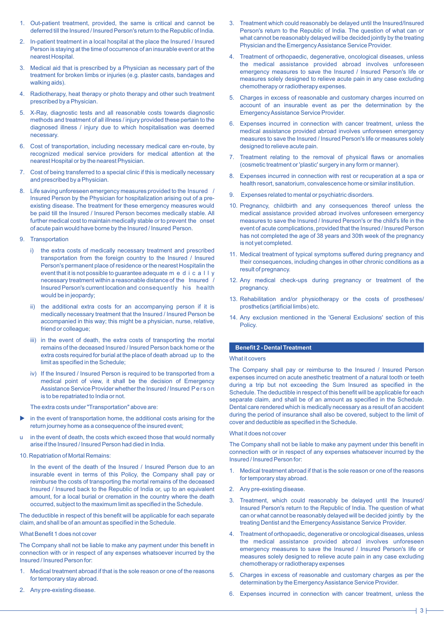- 1. Out-patient treatment, provided, the same is critical and cannot be deferred till the Insured / Insured Person's return to the Republic of India.
- 2. In-patient treatment in a local hospital at the place the Insured / Insured Person is staying at the time of occurrence of an insurable event or at the nearest Hospital.
- 3. Medical aid that is prescribed by a Physician as necessary part of the treatment for broken limbs or injuries (e.g. plaster casts, bandages and walking aids).
- 4. Radiotherapy, heat therapy or photo therapy and other such treatment prescribed by a Physician.
- 5. X-Ray, diagnostic tests and all reasonable costs towards diagnostic methods and treatment of all illness / injury provided these pertain to the diagnosed illness / injury due to which hospitalisation was deemed necessary.
- 6. Cost of transportation, including necessary medical care en-route, by recognized medical service providers for medical attention at the nearest Hospital or by the nearest Physician.
- 7. Cost of being transferred to a special clinic if this is medically necessary and prescribed by a Physician.
- 8. Life saving unforeseen emergency measures provided to the Insured / Insured Person by the Physician for hospitalization arising out of a preexisting disease. The treatment for these emergency measures would be paid till the Insured / Insured Person becomes medically stable. All further medical cost to maintain medically stable or to prevent the onset of acute pain would have borne by the Insured / Insured Person.
- 9. Transportation
	- i) the extra costs of medically necessary treatment and prescribed transportation from the foreign country to the Insured / Insured Person's permanent place of residence or the nearest Hospitalin the event that it is not possible to guarantee adequate m e d i c a l l y necessary treatment within a reasonable distance of the Insured / Insured Person's current location and consequently his health would be in jeopardy;
	- ii) the additional extra costs for an accompanying person if it is medically necessary treatment that the Insured / Insured Person be accompanied in this way; this might be a physician, nurse, relative, friend or colleague;
	- iii) in the event of death, the extra costs of transporting the mortal remains of the deceased Insured / Insured Person back home or the extra costs required for burial at the place of death abroad up to the limit as specified in the Schedule;
	- iv) If the Insured / Insured Person is required to be transported from a medical point of view, it shall be the decision of Emergency Assistance Service Provider whether the Insured / Insured Person is to be repatriated to India or not.

The extra costs under "Transportation" above are:

- in the event of transportation home, the additional costs arising for the return journey home as a consequence of the insured event;
- u in the event of death, the costs which exceed those that would normally arise if the Insured / Insured Person had died in India.
- 10. Repatriation of Mortal Remains:

In the event of the death of the Insured / Insured Person due to an insurable event in terms of this Policy, the Company shall pay or reimburse the costs of transporting the mortal remains of the deceased Insured / Insured back to the Republic of India or, up to an equivalent amount, for a local burial or cremation in the country where the death occurred, subject to the maximum limit as specified in the Schedule.

The deductible in respect of this benefit will be applicable for each separate claim, and shall be of an amount as specified in the Schedule.

# What Benefit 1 does not cover

The Company shall not be liable to make any payment under this benefit in connection with or in respect of any expenses whatsoever incurred by the Insured / Insured Person for:

- 1. Medical treatment abroad if that is the sole reason or one of the reasons for temporary stay abroad.
- 2. Any pre-existing disease.
- 3. Treatment which could reasonably be delayed until the Insured/Insured Person's return to the Republic of India. The question of what can or what cannot be reasonably delayed will be decided jointly by the treating Physician and the Emergency Assistance Service Provider.
- 4. Treatment of orthopaedic, degenerative, oncological diseases, unless the medical assistance provided abroad involves unforeseen emergency measures to save the Insured / Insured Person's life or measures solely designed to relieve acute pain in any case excluding chemotherapy or radiotherapy expenses.
- 5. Charges in excess of reasonable and customary charges incurred on account of an insurable event as per the determination by the Emergency Assistance Service Provider.
- 6. Expenses incurred in connection with cancer treatment, unless the medical assistance provided abroad involves unforeseen emergency measures to save the Insured / Insured Person's life or measures solely designed to relieve acute pain.
- 7. Treatment relating to the removal of physical flaws or anomalies (cosmetic treatment or 'plastic' surgery in any form or manner).
- 8. Expenses incurred in connection with rest or recuperation at a spa or health resort, sanatorium, convalescence home or similar institution.
- 9. Expenses related to mental or psychiatric disorders.
- 10. Pregnancy, childbirth and any consequences thereof unless the medical assistance provided abroad involves unforeseen emergency measures to save the Insured / Insured Person's or the child's life in the event of acute complications, provided that the Insured / Insured Person has not completed the age of 38 years and 30th week of the pregnancy is not yet completed.
- 11. Medical treatment of typical symptoms suffered during pregnancy and their consequences, including changes in other chronic conditions as a result of pregnancy.
- 12. Any medical check-ups during pregnancy or treatment of the pregnancy.
- 13. Rehabilitation and/or physiotherapy or the costs of prostheses/ prosthetics (artificial limbs) etc.
- 14. Any exclusion mentioned in the 'General Exclusions' section of this Policy.

# **Benefit 2 - Dental Treatment**

# What it covers

The Company shall pay or reimburse to the Insured / Insured Person expenses incurred on acute anesthetic treatment of a natural tooth or teeth during a trip but not exceeding the Sum Insured as specified in the Schedule. The deductible in respect of this benefit will be applicable for each separate claim, and shall be of an amount as specified in the Schedule. Dental care rendered which is medically necessary as a result of an accident during the period of insurance shall also be covered, subject to the limit of cover and deductible as specified in the Schedule.

### What it does not cover

The Company shall not be liable to make any payment under this benefit in connection with or in respect of any expenses whatsoever incurred by the Insured / Insured Person for:

- 1. Medical treatment abroad if that is the sole reason or one of the reasons for temporary stay abroad.
- 2. Any pre-existing disease.
- 3. Treatment, which could reasonably be delayed until the Insured/ Insured Person's return to the Republic of India. The question of what can or what cannot be reasonably delayed will be decided jointly by the treating Dentist and the Emergency Assistance Service Provider.
- 4. Treatment of orthopaedic, degenerative or oncological diseases, unless the medical assistance provided abroad involves unforeseen emergency measures to save the Insured / Insured Person's life or measures solely designed to relieve acute pain in any case excluding chemotherapy or radiotherapy expenses
- 5. Charges in excess of reasonable and customary charges as per the determination by the Emergency Assistance Service Provider.
- 6. Expenses incurred in connection with cancer treatment, unless the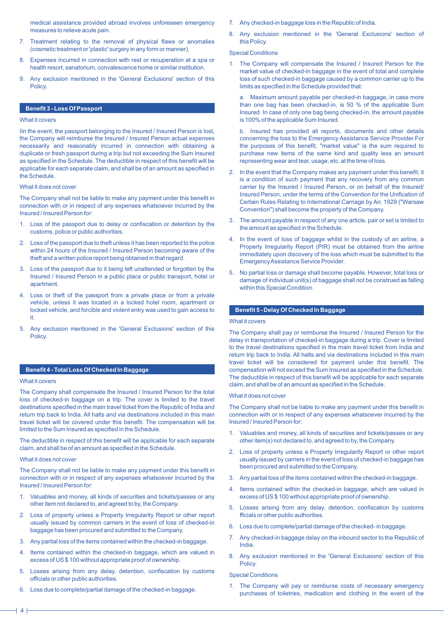medical assistance provided abroad involves unforeseen emergency measures to relieve acute pain.

- 7. Treatment relating to the removal of physical flaws or anomalies (cosmetic treatment or 'plastic' surgery in any form or manner).
- 8. Expenses incurred in connection with rest or recuperation at a spa or health resort, sanatorium, convalescence home or similar institution.
- 9. Any exclusion mentioned in the 'General Exclusions' section of this Policy.

# **Benefit 3 - Loss Of Passport**

# What it covers

IIn the event, the passport belonging to the Insured / Insured Person is lost, the Company will reimburse the Insured / Insured Person actual expenses necessarily and reasonably incurred in connection with obtaining a duplicate or fresh passport during a trip but not exceeding the Sum Insured as specified in the Schedule. The deductible in respect of this benefit will be applicable for each separate claim, and shall be of an amount as specified in the Schedule.

#### What it does not cover

The Company shall not be liable to make any payment under this benefit in connection with or in respect of any expenses whatsoever incurred by the Insured / Insured Person for:

- 1. Loss of the passport due to delay or confiscation or detention by the customs, police or public authorities.
- 2. Loss of the passport due to theft unless it has been reported to the police within 24 hours of the Insured / Insured Person becoming aware of the theft and a written police report being obtained in that regard.
- 3. Loss of the passport due to it being left unattended or forgotten by the Insured / Insured Person in a public place or public transport, hotel or apartment.
- 4. Loss or theft of the passport from a private place or from a private vehicle, unless it was located in a locked hotel room, apartment or locked vehicle, and forcible and violent entry was used to gain access to it.
- 5. Any exclusion mentioned in the 'General Exclusions' section of this Policy.

# **Benefit 4 - Total Loss Of Checked In Baggage**

# What it covers

The Company shall compensate the Insured / Insured Person for the total loss of checked-in baggage on a trip. The cover is limited to the travel destinations specified in the main travel ticket from the Republic of India and return trip back to India. All halts and via destinations included in this main travel ticket will be covered under this benefit. The compensation will be limited to the Sum Insured as specified in the Schedule.

The deductible in respect of this benefit will be applicable for each separate claim, and shall be of an amount as specified in the Schedule.

#### What it does not cover

The Company shall not be liable to make any payment under this benefit in connection with or in respect of any expenses whatsoever incurred by the Insured / Insured Person for:

- 1. Valuables and money, all kinds of securities and tickets/passes or any other item not declared to, and agreed to by, the Company.
- 2. Loss of property unless a Property Irregularity Report or other report usually issued by common carriers in the event of loss of checked-in baggage has been procured and submitted to the Company.
- 3. Any partial loss of the items contained within the checked-in baggage.
- 4. Items contained within the checked-in baggage, which are valued in excess of US \$ 100 without appropriate proof of ownership.
- 5. Losses arising from any delay, detention, confiscation by customs officials or other public authorities.
- 6. Loss due to complete/partial damage of the checked-in baggage.
- 7. Any checked-in baggage loss in the Republic of India.
- 8. Any exclusion mentioned in the 'General Exclusions' section of this Policy.

### Special Conditions

1. The Company will compensate the Insured / Insured Person for the market value of checked-in baggage in the event of total and complete loss of such checked-in baggage caused by a common carrier up to the limits as specified in the Schedule provided that:

a. Maximum amount payable per checked-in baggage, in case more than one bag has been checked-in, is 50 % of the applicable Sum Insured. In case of only one bag being checked-in, the amount payable is 100% of the applicable Sum Insured.

b. Insured has provided all reports, documents and other details concerning the loss to the Emergency Assistance Service Provider.For the purposes of this benefit, "market value" is the sum required to purchase new items of the same kind and quality less an amount representing wear and tear, usage, etc. at the time of loss.

- 2. In the event that the Company makes any payment under this benefit, it is a condition of such payment that any recovery from any common carrier by the Insured / Insured Person, or on behalf of the Insured/ Insured Person, under the terms of the Convention for the Unification of Certain Rules Relating to International Carriage by Air, 1929 ("Warsaw Convention") shall become the property of the Company.
- 3. The amount payable in respect of any one article, pair or set is limited to the amount as specified in the Schedule.
- 4. In the event of loss of baggage whilst in the custody of an airline, a Property Irregularity Report (PIR) must be obtained from the airline immediately upon discovery of the loss which must be submitted to the Emergency Assistance Service Provider.
- 5. No partial loss or damage shall become payable. However, total loss or damage of individual unit(s) of baggage shall not be construed as falling within this Special Condition.

# **Benefit 5 - Delay Of Checked In Baggage**

# What it covers

The Company shall pay or reimburse the Insured / Insured Person for the delay in transportation of checked-in baggage during a trip. Cover is limited to the travel destinations specified in the main travel ticket from India and return trip back to India. All halts and via destinations included in this main travel ticket will be considered for payment under this benefit. The compensation will not exceed the Sum Insured as specified in the Schedule. The deductible in respect of this benefit will be applicable for each separate claim, and shall be of an amount as specified in the Schedule.

### What it does not cover

The Company shall not be liable to make any payment under this benefit in connection with or in respect of any expenses whatsoever incurred by the Insured / Insured Person for:

- Valuables and money, all kinds of securities and tickets/passes or any other item(s) not declared to, and agreed to by, the Company.
- 2. Loss of property unless a Property Irregularity Report or other report usually issued by carriers in the event of loss of checked-in baggage has been procured and submitted to the Company.
- 3. Any partial loss of the items contained within the checked-in baggage.
- 4. Items contained within the checked-in baggage, which are valued in excess of US \$ 100 without appropriate proof of ownership.
- 5. Losses arising from any delay, detention, confiscation by customs fficials or other public authorities.
- 6. Loss due to complete/partial damage of the checked- in baggage.
- 7. Any checked-in baggage delay on the inbound sector to the Republic of India.
- 8. Any exclusion mentioned in the 'General Exclusions' section of this Policy.

#### Special Conditions

1. The Company will pay or reimburse costs of necessary emergency purchases of toiletries, medication and clothing in the event of the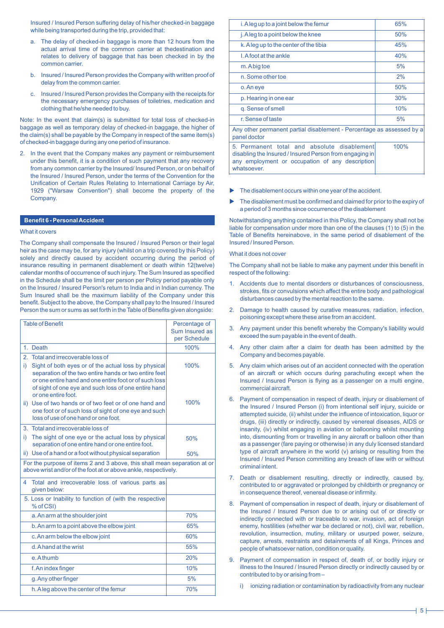Insured / Insured Person suffering delay of his/her checked-in baggage while being transported during the trip, provided that:

- a. The delay of checked-in baggage is more than 12 hours from the actual arrival time of the common carrier at thedestination and relates to delivery of baggage that has been checked in by the common carrier.
- b. Insured / Insured Person provides the Company with written proof of delay from the common carrier.
- c. Insured / Insured Person provides the Company with the receipts for the necessary emergency purchases of toiletries, medication and clothing that he/she needed to buy.

Note: In the event that claim(s) is submitted for total loss of checked-in baggage as well as temporary delay of checked-in baggage, the higher of the claim(s) shall be payable by the Company in respect of the same item(s) of checked-in baggage during any one period of insurance.

2. In the event that the Company makes any payment or reimbursement under this benefit, it is a condition of such payment that any recovery from any common carrier by the Insured/ Insured Person, or on behalf of the Insured / Insured Person, under the terms of the Convention for the Unification of Certain Rules Relating to International Carriage by Air, 1929 ("Warsaw Convention") shall become the property of the Company.

#### **Benefit 6 - Personal Accident**

# What it covers

The Company shall compensate the Insured / Insured Person or their legal heir as the case may be, for any injury (whilst on a trip covered by this Policy) solely and directly caused by accident occurring during the period of insurance resulting in permanent disablement or death within 12(twelve) calendar months of occurrence of such injury. The Sum Insured as specified in the Schedule shall be the limit per person per Policy period payable only on the Insured / Insured Person's return to India and in Indian currency. The Sum Insured shall be the maximum liability of the Company under this benefit. Subject to the above, the Company shall pay to the Insured / Insured Person the sum or sums as set forth in the Table of Benefits given alongside:

| <b>Table of Benefit</b>                                                                                                                                                                                                                                      | Percentage of<br>Sum Insured as |  |
|--------------------------------------------------------------------------------------------------------------------------------------------------------------------------------------------------------------------------------------------------------------|---------------------------------|--|
|                                                                                                                                                                                                                                                              | per Schedule                    |  |
| 1. Death                                                                                                                                                                                                                                                     | 100%                            |  |
| $\mathcal{P}_{\cdot}$<br>Total and irrecoverable loss of                                                                                                                                                                                                     |                                 |  |
| Sight of both eyes or of the actual loss by physical<br>i)<br>separation of the two entire hands or two entire feet<br>or one entire hand and one entire foot or of such loss<br>of sight of one eye and such loss of one entire hand<br>or one entire foot. | 100%                            |  |
| ii) Use of two hands or of two feet or of one hand and<br>one foot or of such loss of sight of one eye and such<br>loss of use of one hand or one foot.                                                                                                      | 100%                            |  |
| 3. Total and irrecoverable loss of                                                                                                                                                                                                                           |                                 |  |
| i).<br>The sight of one eye or the actual loss by physical<br>separation of one entire hand or one entire foot.                                                                                                                                              | 50%                             |  |
| ii) Use of a hand or a foot without physical separation                                                                                                                                                                                                      | 50%                             |  |
| For the purpose of items 2 and 3 above, this shall mean separation at or<br>above wrist and/or of the foot at or above ankle, respectively.                                                                                                                  |                                 |  |
| Total and irrecoverable loss of various parts as<br>4<br>given below:                                                                                                                                                                                        |                                 |  |
| 5. Loss or Inability to function of (with the respective<br>% of CSI)                                                                                                                                                                                        |                                 |  |
| a. An arm at the shoulder joint                                                                                                                                                                                                                              | 70%                             |  |
| b. An arm to a point above the elbow joint                                                                                                                                                                                                                   | 65%                             |  |
| c. An arm below the elbow joint                                                                                                                                                                                                                              | 60%                             |  |
| d. A hand at the wrist                                                                                                                                                                                                                                       | 55%                             |  |
| e. A thumb                                                                                                                                                                                                                                                   | 20%                             |  |
| f. An index finger                                                                                                                                                                                                                                           | 10%                             |  |
| g. Any other finger                                                                                                                                                                                                                                          | 5%                              |  |
| h. A leg above the center of the femur                                                                                                                                                                                                                       | 70%                             |  |

| i. A leg up to a joint below the femur                                                                                                                                   | 65%  |  |
|--------------------------------------------------------------------------------------------------------------------------------------------------------------------------|------|--|
| j. A leg to a point below the knee                                                                                                                                       | 50%  |  |
| k. A leg up to the center of the tibia                                                                                                                                   | 45%  |  |
| I. A foot at the ankle                                                                                                                                                   | 40%  |  |
| m. A big toe                                                                                                                                                             | 5%   |  |
| n. Some other toe                                                                                                                                                        | 2%   |  |
| o. An eye                                                                                                                                                                | 50%  |  |
| p. Hearing in one ear                                                                                                                                                    | 30%  |  |
| g. Sense of smell                                                                                                                                                        | 10%  |  |
| r. Sense of taste                                                                                                                                                        | 5%   |  |
| Any other permanent partial disablement - Percentage as assessed by a<br>panel doctor                                                                                    |      |  |
| 5. Permanent total and absolute disablement<br>disabling the Insured / Insured Person from engaging in<br>any employment or occupation of any description<br>whatsoever. | 100% |  |

- The disablement occurs within one year of the accident.
- The disablement must be confirmed and claimed for prior to the expiry of a period of 3 months since occurrence of the disablement

Notwithstanding anything contained in this Policy, the Company shall not be liable for compensation under more than one of the clauses (1) to (5) in the Table of Benefits hereinabove, in the same period of disablement of the Insured / Insured Person.

What it does not cover

The Company shall not be liable to make any payment under this benefit in respect of the following:

- 1. Accidents due to mental disorders or disturbances of consciousness, strokes, fits or convulsions which affect the entire body and pathological disturbances caused by the mental reaction to the same.
- 2. Damage to health caused by curative measures, radiation, infection, poisoning except where these arise from an accident.
- 3. Any payment under this benefit whereby the Company's liability would exceed the sum payable in the event of death.
- 4. Any other claim after a claim for death has been admitted by the Company and becomes payable.
- 5. Any claim which arises out of an accident connected with the operation of an aircraft or which occurs during parachuting except when the Insured / Insured Person is flying as a passenger on a multi engine, commercial aircraft.
- 6. Payment of compensation in respect of death, injury or disablement of the Insured / Insured Person (i) from intentional self injury, suicide or attempted suicide, (ii) whilst under the influence of intoxication, liquor or drugs, (iii) directly or indirectly, caused by venereal diseases, AIDS or insanity, (iv) whilst engaging in aviation or ballooning whilst mounting into, dismounting from or travelling in any aircraft or balloon other than as a passenger (fare paying or otherwise) in any duly licensed standard type of aircraft anywhere in the world (v) arising or resulting from the Insured / Insured Person committing any breach of law with or without criminal intent.
- 7. Death or disablement resulting, directly or indirectly, caused by, contributed to or aggravated or prolonged by childbirth or pregnancy or in consequence thereof, venereal disease or infirmity.
- 8. Payment of compensation in respect of death, injury or disablement of the Insured / Insured Person due to or arising out of or directly or indirectly connected with or traceable to war, invasion, act of foreign enemy, hostilities (whether war be declared or not), civil war, rebellion, revolution, insurrection, mutiny, military or usurped power, seizure, capture, arrests, restraints and detainments of all Kings, Princes and people of whatsoever nation, condition or quality.
- 9. Payment of compensation in respect of, death of, or bodily injury or illness to the Insured / Insured Person directly or indirectly caused by or contributed to by or arising from –
	- ionizing radiation or contamination by radioactivity from any nuclear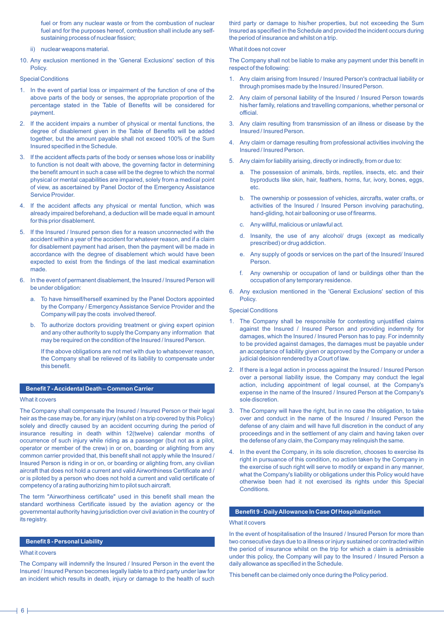fuel or from any nuclear waste or from the combustion of nuclear fuel and for the purposes hereof, combustion shall include any selfsustaining process of nuclear fission;

- ii) nuclear weapons material.
- 10. Any exclusion mentioned in the 'General Exclusions' section of this Policy.

Special Conditions

- 1. In the event of partial loss or impairment of the function of one of the above parts of the body or senses, the appropriate proportion of the percentage stated in the Table of Benefits will be considered for payment.
- 2. If the accident impairs a number of physical or mental functions, the degree of disablement given in the Table of Benefits will be added together, but the amount payable shall not exceed 100% of the Sum Insured specified in the Schedule.
- 3. If the accident affects parts of the body or senses whose loss or inability to function is not dealt with above, the governing factor in determining the benefit amount in such a case will be the degree to which the normal physical or mental capabilities are impaired, solely from a medical point of view, as ascertained by Panel Doctor of the Emergency Assistance Service Provider.
- 4. If the accident affects any physical or mental function, which was already impaired beforehand, a deduction will be made equal in amount for this prior disablement.
- 5. If the Insured / Insured person dies for a reason unconnected with the accident within a year of the accident for whatever reason, and if a claim for disablement payment had arisen, then the payment will be made in accordance with the degree of disablement which would have been expected to exist from the findings of the last medical examination made.
- 6. In the event of permanent disablement, the Insured / Insured Person will be under obligation:
	- a. To have himself/herself examined by the Panel Doctors appointed by the Company / Emergency Assistance Service Provider and the Company will pay the costs involved thereof.
	- b. To authorize doctors providing treatment or giving expert opinion and any other authority to supply the Company any information that may be required on the condition of the Insured / Insured Person.

If the above obligations are not met with due to whatsoever reason, the Company shall be relieved of its liability to compensate under this benefit.

# **Benefit 7 - Accidental Death – Common Carrier**

#### What it covers

The Company shall compensate the Insured / Insured Person or their legal heir as the case may be, for any injury (whilst on a trip covered by this Policy) solely and directly caused by an accident occurring during the period of insurance resulting in death within 12(twelve) calendar months of occurrence of such injury while riding as a passenger (but not as a pilot, operator or member of the crew) in or on, boarding or alighting from any common carrier provided that, this benefit shall not apply while the Insured / Insured Person is riding in or on, or boarding or alighting from, any civilian aircraft that does not hold a current and valid Airworthiness Certificate and / or is piloted by a person who does not hold a current and valid certificate of competency of a rating authorizing him to pilot such aircraft.

The term "Airworthiness certificate" used in this benefit shall mean the standard worthiness Certificate issued by the aviation agency or the governmental authority having jurisdiction over civil aviation in the country of its registry.

# **Benefit 8 - Personal Liability**

#### What it covers

The Company will indemnify the Insured / Insured Person in the event the Insured / Insured Person becomes legally liable to a third party under law for an incident which results in death, injury or damage to the health of such

third party or damage to his/her properties, but not exceeding the Sum Insured as specified in the Schedule and provided the incident occurs during the period of insurance and whilst on a trip.

# What it does not cover

The Company shall not be liable to make any payment under this benefit in respect of the following:

- 1. Any claim arising from Insured / Insured Person's contractual liability or through promises made by the Insured / Insured Person.
- 2. Any claim of personal liability of the Insured / Insured Person towards his/her family, relations and travelling companions, whether personal or official.
- 3. Any claim resulting from transmission of an illness or disease by the Insured / Insured Person.
- 4. Any claim or damage resulting from professional activities involving the Insured / Insured Person.
- 5. Any claim for liability arising, directly or indirectly, from or due to:
	- a. The possession of animals, birds, reptiles, insects, etc. and their byproducts like skin, hair, feathers, horns, fur, ivory, bones, eggs, etc.
	- b. The ownership or possession of vehicles, aircrafts, water crafts, or activities of the Insured / Insured Person involving parachuting, hand-gliding, hot air ballooning or use of firearms.
	- c. Any willful, malicious or unlawful act.
	- d. Insanity, the use of any alcohol/ drugs (except as medically prescribed) or drug addiction.
	- e. Any supply of goods or services on the part of the Insured/ Insured Person.
	- f. Any ownership or occupation of land or buildings other than the occupation of any temporary residence.
- 6. Any exclusion mentioned in the 'General Exclusions' section of this Policy.

#### Special Conditions

- 1. The Company shall be responsible for contesting unjustified claims against the Insured / Insured Person and providing indemnity for damages, which the Insured / Insured Person has to pay. For indemnity to be provided against damages, the damages must be payable under an acceptance of liability given or approved by the Company or under a judicial decision rendered by a Court of law.
- 2. If there is a legal action in process against the Insured / Insured Person over a personal liability issue, the Company may conduct the legal action, including appointment of legal counsel, at the Company's expense in the name of the Insured / Insured Person at the Company's sole discretion.
- 3. The Company will have the right, but in no case the obligation, to take over and conduct in the name of the Insured / Insured Person the defense of any claim and will have full discretion in the conduct of any proceedings and in the settlement of any claim and having taken over the defense of any claim, the Company may relinquish the same.
- 4. In the event the Company, in its sole discretion, chooses to exercise its right in pursuance of this condition, no action taken by the Company in the exercise of such right will serve to modify or expand in any manner, what the Company's liability or obligations under this Policy would have otherwise been had it not exercised its rights under this Special Conditions.

# **Benefit 9 - Daily Allowance In Case Of Hospitalization**

#### What it covers

In the event of hospitalisation of the Insured / Insured Person for more than two consecutive days due to a illness or injury sustained or contracted within the period of insurance whilst on the trip for which a claim is admissible under this policy, the Company will pay to the Insured / Insured Person a daily allowance as specified in the Schedule.

This benefit can be claimed only once during the Policy period.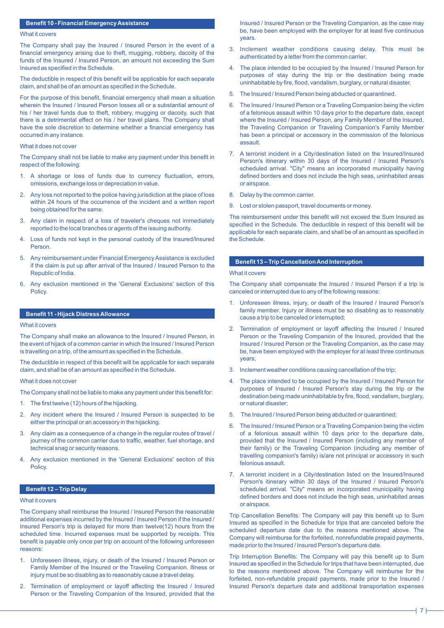# **Benefit 10 - Financial Emergency Assistance**

### What it covers

The Company shall pay the Insured / Insured Person in the event of a financial emergency arising due to theft, mugging, robbery, dacoity of the funds of the Insured / Insured Person, an amount not exceeding the Sum Insured as specified in the Schedule.

The deductible in respect of this benefit will be applicable for each separate claim, and shall be of an amount as specified in the Schedule.

For the purpose of this benefit, financial emergency shall mean a situation wherein the Insured / Insured Person losses all or a substantial amount of his / her travel funds due to theft, robbery, mugging or dacoity, such that there is a detrimental effect on his / her travel plans. The Company shall have the sole discretion to determine whether a financial emergency has occurred in any instance.

#### What it does not cover

The Company shall not be liable to make any payment under this benefit in respect of the following:

- 1. A shortage or loss of funds due to currency fluctuation, errors, omissions, exchange loss or depreciation in value.
- 2. Any loss not reported to the police having jurisdiction at the place of loss within 24 hours of the occurrence of the incident and a written report being obtained for the same.
- 3. Any claim in respect of a loss of traveler's cheques not immediately reported to the local branches or agents of the issuing authority.
- 4. Loss of funds not kept in the personal custody of the Insured/Insured Person.
- 5. Any reimbursement under Financial Emergency Assistance is excluded if the claim is put up after arrival of the Insured / Insured Person to the Republic of India.
- 6. Any exclusion mentioned in the 'General Exclusions' section of this Policy.

# **Benefit 11 - Hijack Distress Allowance**

#### What it covers

The Company shall make an allowance to the Insured / Insured Person, in the event of hijack of a common carrier in which the Insured / Insured Person is travelling on a trip, of the amount as specified in the Schedule.

The deductible in respect of this benefit will be applicable for each separate claim, and shall be of an amount as specified in the Schedule.

#### What it does not cover

The Company shall not be liable to make any payment under this benefit for:

- 1. The first twelve (12) hours of the hijacking.
- 2. Any incident where the Insured / Insured Person is suspected to be either the principal or an accessory in the hijacking.
- Any claim as a consequence of a change in the regular routes of travel / journey of the common carrier due to traffic, weather, fuel shortage, and technical snag or security reasons.
- 4. Any exclusion mentioned in the 'General Exclusions' section of this Policy.

# **Benefit 12 – Trip Delay**

### What it covers

The Company shall reimburse the Insured / Insured Person the reasonable additional expenses incurred by the Insured / Insured Person if the Insured / Insured Person's trip is delayed for more than twelve(12) hours from the scheduled time. Incurred expenses must be supported by receipts. This benefit is payable only once per trip on account of the following unforeseen reasons:

- 1. Unforeseen illness, injury, or death of the Insured / Insured Person or Family Member of the Insured or the Traveling Companion. Illness or injury must be so disabling as to reasonably cause a travel delay.
- 2. Termination of employment or layoff affecting the Insured / Insured Person or the Traveling Companion of the Insured, provided that the

Insured / Insured Person or the Traveling Companion, as the case may be, have been employed with the employer for at least five continuous years.

- 3. Inclement weather conditions causing delay. This must be authenticated by a letter from the common carrier.
- 4. The place intended to be occupied by the Insured / Insured Person for purposes of stay during the trip or the destination being made uninhabitable by fire, flood, vandalism, burglary, or natural disaster.
- 5. The Insured / Insured Person being abducted or quarantined.
- 6. The Insured / Insured Person or a Traveling Companion being the victim of a felonious assault within 10 days prior to the departure date, except where the Insured / Insured Person, any Family Member of the Insured, the Traveling Companion or Traveling Companion's Family Member has been a principal or accessory in the commission of the felonious assault.
- 7. A terrorist incident in a City/destination listed on the Insured/Insured Person's itinerary within 30 days of the Insured / Insured Person's scheduled arrival. "City" means an incorporated municipality having defined borders and does not include the high seas, uninhabited areas or airspace.
- 8. Delay by the common carrier.
- 9. Lost or stolen passport, travel documents or money.

The reimbursement under this benefit will not exceed the Sum Insured as specified in the Schedule. The deductible in respect of this benefit will be applicable for each separate claim, and shall be of an amount as specified in the Schedule.

## **Benefit 13 – Trip Cancellation And Interruption**

# What it covers

The Company shall compensate the Insured / Insured Person if a trip is canceled or interrupted due to any of the following reasons:

- 1. Unforeseen illness, injury, or death of the Insured / Insured Person's family member. Injury or illness must be so disabling as to reasonably cause a trip to be canceled or interrupted;
- 2. Termination of employment or layoff affecting the Insured / Insured Person or the Traveling Companion of the Insured, provided that the Insured / Insured Person or the Traveling Companion, as the case may be, have been employed with the employer for at least three continuous years;
- 3. Inclement weather conditions causing cancellation of the trip;
- 4. The place intended to be occupied by the Insured / Insured Person for purposes of Insured / Insured Person's stay during the trip or the destination being made uninhabitable by fire, flood, vandalism, burglary, or natural disaster;
- 5. The Insured / Insured Person being abducted or quarantined;
- 6. The Insured / Insured Person or a Traveling Companion being the victim of a felonious assault within 10 days prior to the departure date, provided that the Insured / Insured Person (including any member of their family) or the Traveling Companion (including any member of travelling companion's family) is/are not principal or accessory in such felonious assault.
- 7. A terrorist incident in a City/destination listed on the Insured/Insured Person's itinerary within 30 days of the Insured / Insured Person's scheduled arrival. "City" means an incorporated municipality having defined borders and does not include the high seas, uninhabited areas or airspace.

Trip Cancellation Benefits: The Company will pay this benefit up to Sum Insured as specified in the Schedule for trips that are canceled before the scheduled departure date due to the reasons mentioned above. The Company will reimburse for the forfeited, nonrefundable prepaid payments, made prior to the Insured / Insured Person's departure date.

Trip Interruption Benefits: The Company will pay this benefit up to Sum Insured as specified in the Schedule for trips that have been interrupted, due to the reasons mentioned above. The Company will reimburse for the forfeited, non-refundable prepaid payments, made prior to the Insured / Insured Person's departure date and additional transportation expenses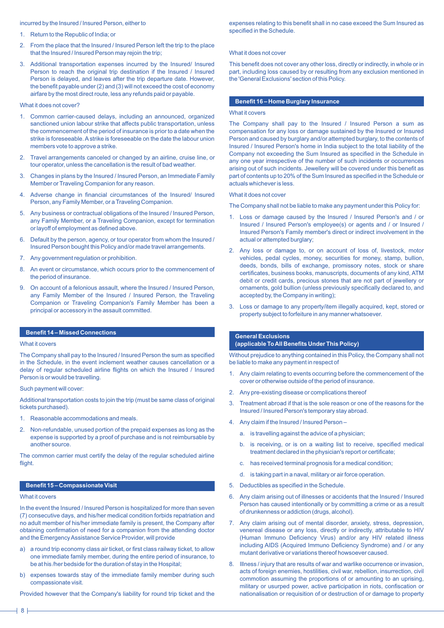# incurred by the Insured / Insured Person, either to

- 1. Return to the Republic of India; or
- 2. From the place that the Insured / Insured Person left the trip to the place that the Insured / Insured Person may rejoin the trip;
- 3. Additional transportation expenses incurred by the Insured/ Insured Person to reach the original trip destination if the Insured / Insured Person is delayed, and leaves after the trip departure date. However, the benefit payable under (2) and (3) will not exceed the cost of economy airfare by the most direct route, less any refunds paid or payable.

#### What it does not cover?

- 1. Common carrier-caused delays, including an announced, organized sanctioned union labour strike that affects public transportation, unless the commencement of the period of insurance is prior to a date when the strike is foreseeable. Astrike is foreseeable on the date the labour union members vote to approve a strike.
- 2. Travel arrangements canceled or changed by an airline, cruise line, or tour operator, unless the cancellation is the result of bad weather.
- 3. Changes in plans by the Insured / Insured Person, an Immediate Family Member or Traveling Companion for any reason.
- 4. Adverse change in financial circumstances of the Insured/ Insured Person, any Family Member, or a Traveling Companion.
- 5. Any business or contractual obligations of the Insured / Insured Person, any Family Member, or a Traveling Companion, except for termination or layoff of employment as defined above.
- 6. Default by the person, agency, or tour operator from whom the Insured / Insured Person bought this Policy and/or made travel arrangements.
- 7. Any government regulation or prohibition.
- 8. An event or circumstance, which occurs prior to the commencement of the period of insurance.
- 9. On account of a felonious assault, where the Insured / Insured Person, any Family Member of the Insured / Insured Person, the Traveling Companion or Traveling Companion's Family Member has been a principal or accessory in the assault committed.

#### **Benefit 14 – Missed Connections**

#### What it covers

The Company shall pay to the Insured / Insured Person the sum as specified in the Schedule, in the event inclement weather causes cancellation or a delay of regular scheduled airline flights on which the Insured / Insured Person is or would be travelling.

#### Such payment will cover:

Additional transportation costs to join the trip (must be same class of original tickets purchased).

- 1. Reasonable accommodations and meals.
- 2. Non-refundable, unused portion of the prepaid expenses as long as the expense is supported by a proof of purchase and is not reimbursable by another source.

The common carrier must certify the delay of the regular scheduled airline flight.

# **Benefit 15 – Compassionate Visit**

#### What it covers

In the event the Insured / Insured Person is hospitalized for more than seven (7) consecutive days, and his/her medical condition forbids repatriation and no adult member of his/her immediate family is present, the Company after obtaining confirmation of need for a companion from the attending doctor and the Emergency Assistance Service Provider, will provide

- a) a round trip economy class air ticket, or first class railway ticket, to allow one immediate family member, during the entire period of insurance, to be at his /her bedside for the duration of stay in the Hospital;
- b) expenses towards stay of the immediate family member during such compassionate visit.

Provided however that the Company's liability for round trip ticket and the

expenses relating to this benefit shall in no case exceed the Sum Insured as specified in the Schedule.

#### What it does not cover

This benefit does not cover any other loss, directly or indirectly, in whole or in part, including loss caused by or resulting from any exclusion mentioned in the 'General Exclusions' section of this Policy.

# **Benefit 16 – Home Burglary Insurance**

#### What it covers

The Company shall pay to the Insured / Insured Person a sum as compensation for any loss or damage sustained by the Insured or Insured Person and caused by burglary and/or attempted burglary, to the contents of Insured / Insured Person's home in India subject to the total liability of the Company not exceeding the Sum Insured as specified in the Schedule in any one year irrespective of the number of such incidents or occurrences arising out of such incidents. Jewellery will be covered under this benefit as part of contents up to 20% of the Sum Insured as specified in the Schedule or actuals whichever is less.

#### What it does not cover

The Company shall not be liable to make any payment under this Policy for:

- 1. Loss or damage caused by the Insured / Insured Person's and / or Insured / Insured Person's employee(s) or agents and / or Insured / Insured Person's Family member's direct or indirect involvement in the actual or attempted burglary;
- 2. Any loss or damage to, or on account of loss of, livestock, motor vehicles, pedal cycles, money, securities for money, stamp, bullion, deeds, bonds, bills of exchange, promissory notes, stock or share certificates, business books, manuscripts, documents of any kind, ATM debit or credit cards, precious stones that are not part of jewellery or ornaments, gold bullion (unless previously specifically declared to, and accepted by, the Company in writing);
- 3. Loss or damage to any property/item illegally acquired, kept, stored or property subject to forfeiture in any manner whatsoever.

# **General Exclusions (applicable To All Benefits Under This Policy)**

Without prejudice to anything contained in this Policy, the Company shall not be liable to make any payment in respect of

- 1. Any claim relating to events occurring before the commencement of the cover or otherwise outside of the period of insurance.
- 2. Any pre-existing disease or complications thereof
- 3. Treatment abroad if that is the sole reason or one of the reasons for the Insured / Insured Person's temporary stay abroad.
- 4. Any claim if the Insured / Insured Person
	- a. is travelling against the advice of a physician;
	- b. is receiving, or is on a waiting list to receive, specified medical treatment declared in the physician's report or certificate;
	- c. has received terminal prognosis for a medical condition;
	- d. is taking part in a naval, military or air force operation.
- 5. Deductibles as specified in the Schedule.
- 6. Any claim arising out of illnesses or accidents that the Insured / Insured Person has caused intentionally or by committing a crime or as a result of drunkenness or addiction (drugs, alcohol).
- 7. Any claim arising out of mental disorder, anxiety, stress, depression, venereal disease or any loss, directly or indirectly, attributable to HIV (Human Immuno Deficiency Virus) and/or any HIV related illness including AIDS (Acquired Immuno Deficiency Syndrome) and / or any mutant derivative or variations thereof howsoever caused.
- 8. Illness / injury that are results of war and warlike occurrence or invasion, acts of foreign enemies, hostilities, civil war, rebellion, insurrection, civil commotion assuming the proportions of or amounting to an uprising, military or usurped power, active participation in riots, confiscation or nationalisation or requisition of or destruction of or damage to property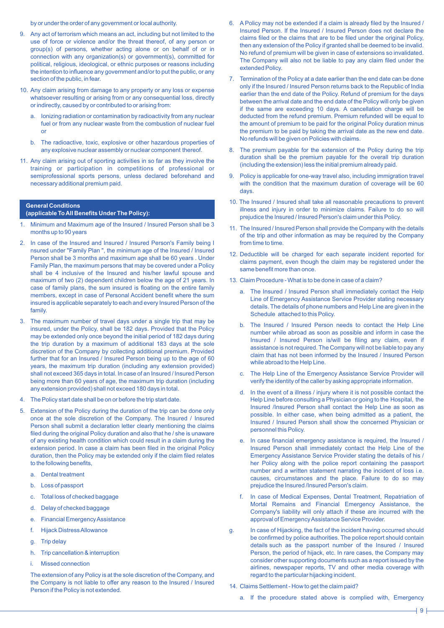by or under the order of any government or local authority.

- 9. Any act of terrorism which means an act, including but not limited to the use of force or violence and/or the threat thereof, of any person or group(s) of persons, whether acting alone or on behalf of or in connection with any organization(s) or government(s), committed for political, religious, ideological, or ethnic purposes or reasons including the intention to influence any government and/or to put the public, or any section of the public, in fear.
- 10. Any claim arising from damage to any property or any loss or expense whatsoever resulting or arising from or any consequential loss, directly or indirectly, caused by or contributed to or arising from:
	- lonizing radiation or contamination by radioactivity from any nuclear fuel or from any nuclear waste from the combustion of nuclear fuel or
	- b. The radioactive, toxic, explosive or other hazardous properties of any explosive nuclear assembly or nuclear component thereof.
- 11. Any claim arising out of sporting activities in so far as they involve the training or participation in competitions of professional or semiprofessional sports persons, unless declared beforehand and necessary additional premium paid.

### **General Conditions (applicable To All Benefits Under The Policy):**

- 1. Minimum and Maximum age of the Insured / Insured Person shall be 3 months up to 90 years
- 2. In case of the Insured and Insured / Insured Person's Family being I nsured under "Family Plan ", the minimum age of the Insured / Insured Person shall be 3 months and maximum age shall be 60 years . Under Family Plan, the maximum persons that may be covered under a Policy shall be 4 inclusive of the Insured and his/her lawful spouse and maximum of two (2) dependent children below the age of 21 years. In case of family plans, the sum insured is floating on the entire family members, except in case of Personal Accident benefit where the sum insured is applicable separately to each and every Insured Person of the family.
- 3. The maximum number of travel days under a single trip that may be insured, under the Policy, shall be 182 days. Provided that the Policy may be extended only once beyond the initial period of 182 days during the trip duration by a maximum of additional 183 days at the sole discretion of the Company by collecting additional premium. Provided further that for an Insured / Insured Person being up to the age of 60 years, the maximum trip duration (including any extension provided) shall not exceed 365 days in total. In case of an Insured / Insured Person being more than 60 years of age, the maximum trip duration (including any extension provided) shall not exceed 180 days in total.
- 4. The Policy start date shall be on or before the trip start date.
- 5. Extension of the Policy during the duration of the trip can be done only once at the sole discretion of the Company. The Insured / Insured Person shall submit a declaration letter clearly mentioning the claims filed during the original Policy duration and also that he / she is unaware of any existing health condition which could result in a claim during the extension period. In case a claim has been filed in the original Policy duration, then the Policy may be extended only if the claim filed relates to the following benefits,
	- a. Dental treatment
	- b. Loss of passport
	- c. Total loss of checked baggage
	- d. Delay of checked baggage
	- e. Financial Emergency Assistance
	- f. Hijack Distress Allowance
	- g. Trip delay
	- h. Trip cancellation & interruption
	- i. Missed connection

The extension of any Policy is at the sole discretion of the Company, and the Company is not liable to offer any reason to the Insured / Insured Person if the Policy is not extended.

- 6. A Policy may not be extended if a claim is already filed by the Insured / Insured Person. If the Insured / Insured Person does not declare the claims filed or the claims that are to be filed under the original Policy, then any extension of the Policy if granted shall be deemed to be invalid. No refund of premium will be given in case of extensions so invalidated. The Company will also not be liable to pay any claim filed under the extended Policy.
- 7. Termination of the Policy at a date earlier than the end date can be done only if the Insured / Insured Person returns back to the Republic of India earlier than the end date of the Policy. Refund of premium for the days between the arrival date and the end date of the Policy will only be given if the same are exceeding 10 days. A cancellation charge will be deducted from the refund premium. Premium refunded will be equal to the amount of premium to be paid for the original Policy duration minus the premium to be paid by taking the arrival date as the new end date. No refunds will be given on Policies with claims.
- 8. The premium payable for the extension of the Policy during the trip duration shall be the premium payable for the overall trip duration (including the extension) less the initial premium already paid.
- 9. Policy is applicable for one-way travel also, including immigration travel with the condition that the maximum duration of coverage will be 60 days.
- 10. The Insured / Insured shall take all reasonable precautions to prevent illness and injury in order to minimize claims. Failure to do so will prejudice the Insured / Insured Person's claim under this Policy.
- 11. The Insured / Insured Person shall provide the Company with the details of the trip and other information as may be required by the Company from time to time.
- 12. Deductible will be charged for each separate incident reported for claims payment, even though the claim may be registered under the same benefit more than once.
- 13. Claim Procedure What is to be done in case of a claim?
	- a. The Insured / Insured Person shall immediately contact the Help Line of Emergency Assistance Service Provider stating necessary details. The details of phone numbers and Help Line are given in the Schedule attached to this Policy.
	- b. The Insured / Insured Person needs to contact the Help Line number while abroad as soon as possible and inform in case the Insured / Insured Person is/will be filing any claim, even if assistance is not required. The Company will not be liable to pay any claim that has not been informed by the Insured / Insured Person while abroad to the Help Line.
	- c. The Help Line of the Emergency Assistance Service Provider will verify the identity of the caller by asking appropriate information.
	- d. In the event of a illness / injury where it is not possible contact the Help Line before consulting a Physician or going to the Hospital, the Insured /Insured Person shall contact the Help Line as soon as possible. In either case, when being admitted as a patient, the Insured / Insured Person shall show the concerned Physician or personnel this Policy.
	- e. In case financial emergency assistance is required, the Insured / Insured Person shall immediately contact the Help Line of the Emergency Assistance Service Provider stating the details of his / her Policy along with the police report containing the passport number and a written statement narrating the incident of loss i.e. causes, circumstances and the place. Failure to do so may prejudice the Insured /Insured Person's claim.
	- f. In case of Medical Expenses, Dental Treatment, Repatriation of Mortal Remains and Financial Emergency Assistance, the Company's liability will only attach if these are incurred with the approval of Emergency Assistance Service Provider.
- g. In case of Hijacking, the fact of the incident having occurred should be confirmed by police authorities. The police report should contain details such as the passport number of the Insured / Insured Person, the period of hijack, etc. In rare cases, the Company may consider other supporting documents such as a report issued by the airlines, newspaper reports, TV and other media coverage with regard to the particular hijacking incident.
- 14. Claims Settlement How to get the claim paid?
	- a. If the procedure stated above is complied with, Emergency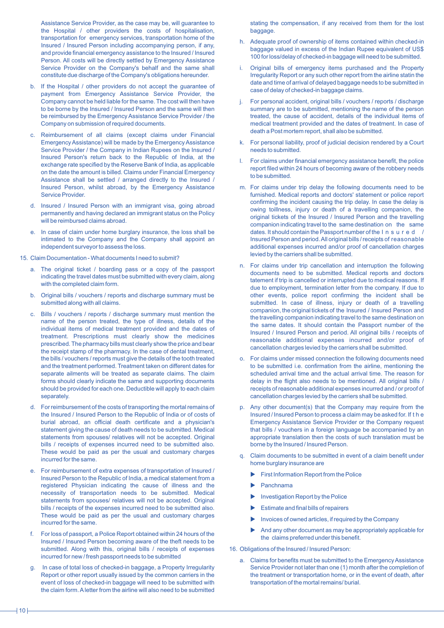Assistance Service Provider, as the case may be, will guarantee to the Hospital / other providers the costs of hospitalisation, transportation for emergency services, transportation home of the Insured / Insured Person including accompanying person, if any, and provide financial emergency assistance to the Insured / Insured Person. All costs will be directly settled by Emergency Assistance Service Provider on the Company's behalf and the same shall constitute due discharge of the Company's obligations hereunder.

- b. If the Hospital / other providers do not accept the guarantee of payment from Emergency Assistance Service Provider, the Company cannot be held liable for the same. The cost will then have to be borne by the Insured / Insured Person and the same will then be reimbursed by the Emergency Assistance Service Provider / the Company on submission of required documents.
- c. Reimbursement of all claims (except claims under Financial Emergency Assistance) will be made by the Emergency Assistance Service Provider / the Company in Indian Rupees on the Insured / Insured Person's return back to the Republic of India, at the exchange rate specified by the Reserve Bank of India, as applicable on the date the amount is billed. Claims under Financial Emergency Assistance shall be settled / arranged directly to the Insured / Insured Person, whilst abroad, by the Emergency Assistance Service Provider.
- d. Insured / Insured Person with an immigrant visa, going abroad permanently and having declared an immigrant status on the Policy will be reimbursed claims abroad.
- e. In case of claim under home burglary insurance, the loss shall be intimated to the Company and the Company shall appoint an independent surveyor to assess the loss.
- 15. Claim Documentation What documents I need to submit?
	- a. The original ticket / boarding pass or a copy of the passport indicating the travel dates must be submitted with every claim, along with the completed claim form.
	- b. Original bills / vouchers / reports and discharge summary must be submitted along with all claims.
	- c. Bills / vouchers / reports / discharge summary must mention the name of the person treated, the type of illness, details of the individual items of medical treatment provided and the dates of treatment. Prescriptions must clearly show the medicines prescribed. The pharmacy bills must clearly show the price and bear the receipt stamp of the pharmacy. In the case of dental treatment, the bills / vouchers / reports must give the details of the tooth treated and the treatment performed. Treatment taken on different dates for separate ailments will be treated as separate claims. The claim forms should clearly indicate the same and supporting documents should be provided for each one. Deductible will apply to each claim separately.
	- d. For reimbursement of the costs of transporting the mortal remains of the Insured / Insured Person to the Republic of India or of costs of burial abroad, an official death certificate and a physician's statement giving the cause of death needs to be submitted. Medical statements from spouses/ relatives will not be accepted. Original bills / receipts of expenses incurred need to be submitted also. These would be paid as per the usual and customary charges incurred for the same.
	- e. For reimbursement of extra expenses of transportation of Insured / Insured Person to the Republic of India, a medical statement from a registered Physician indicating the cause of illness and the necessity of transportation needs to be submitted. Medical statements from spouses/ relatives will not be accepted. Original bills / receipts of the expenses incurred need to be submitted also. These would be paid as per the usual and customary charges incurred for the same.
	- f. For loss of passport, a Police Report obtained within 24 hours of the Insured / Insured Person becoming aware of the theft needs to be submitted. Along with this, original bills / receipts of expenses incurred for new / fresh passport needs to be submitted
	- g. In case of total loss of checked-in baggage, a Property Irregularity Report or other report usually issued by the common carriers in the event of loss of checked-in baggage will need to be submitted with the claim form. Aletter from the airline will also need to be submitted

stating the compensation, if any received from them for the lost baggage.

- h. Adequate proof of ownership of items contained within checked-in baggage valued in excess of the Indian Rupee equivalent of US\$ 100 for loss/delay of checked-in baggage will need to be submitted.
- i. Original bills of emergency items purchased and the Property Irregularity Report or any such other report from the airline statin the date and time of arrival of delayed baggage needs to be submitted in case of delay of checked-in baggage claims.
- j. For personal accident, original bills / vouchers / reports / discharge summary are to be submitted, mentioning the name of the person treated, the cause of accident, details of the individual items of medical treatment provided and the dates of treatment. In case of death a Post mortem report, shall also be submitted.
- k. For personal liability, proof of judicial decision rendered by a Court needs to submitted.
- l. For claims under financial emergency assistance benefit, the police report filed within 24 hours of becoming aware of the robbery needs to be submitted.
- m. For claims under trip delay the following documents need to be furnished. Medical reports and doctors' statement or police report confirming the incident causing the trip delay. In case the delay is owing toillness, injury or death of a travelling companion, the original tickets of the Insured / Insured Person and the travelling companion indicating travel to the same destination on the same dates. It should contain the Passport number of the I n s u r e d / Insured Person and period. All original bills / receipts of reasonable additional expenses incurred and/or proof of cancellation charges levied by the carriers shall be submitted.
- n. For claims under trip cancellation and interruption the following documents need to be submitted. Medical reports and doctors tatement if trip is cancelled or interrupted due to medical reasons. If due to employment, termination letter from the company. If due to other events, police report confirming the incident shall be submitted. In case of illness, injury or death of a travelling companion, the original tickets of the Insured / Insured Person and the travelling companion indicating travel to the same destination on the same dates. It should contain the Passport number of the Insured / Insured Person and period. All original bills / receipts of reasonable additional expenses incurred and/or proof of cancellation charges levied by the carriers shall be submitted.
- o. For claims under missed connection the following documents need to be submitted i.e. confirmation from the airline, mentioning the scheduled arrival time and the actual arrival time. The reason for delay in the flight also needs to be mentioned. All original bills / receipts of reasonable additional expenses incurred and / or proof of cancellation charges levied by the carriers shall be submitted.
- p. Any other document(s) that the Company may require from the Insured / Insured Person to process a claim may be asked for. If t h e Emergency Assistance Service Provider or the Company request that bills / vouchers in a foreign language be accompanied by an appropriate translation then the costs of such translation must be borne by the Insured / Insured Person.
- q. Claim documents to be submitted in event of a claim benefit under home burglary insurance are
	- $\blacktriangleright$  First Information Report from the Police
	- Panchnama
	- Investigation Report by the Police
	- $\blacktriangleright$  Estimate and final bills of repairers
	- Invoices of owned articles, if required by the Company
	- And any other document as may be appropriately applicable for the claims preferred under this benefit.
- 16. Obligations of the Insured / Insured Person:
	- a. Claims for benefits must be submitted to the Emergency Assistance Service Provider not later than one (1) month after the completion of the treatment or transportation home, or in the event of death, after transportation of the mortal remains/ burial.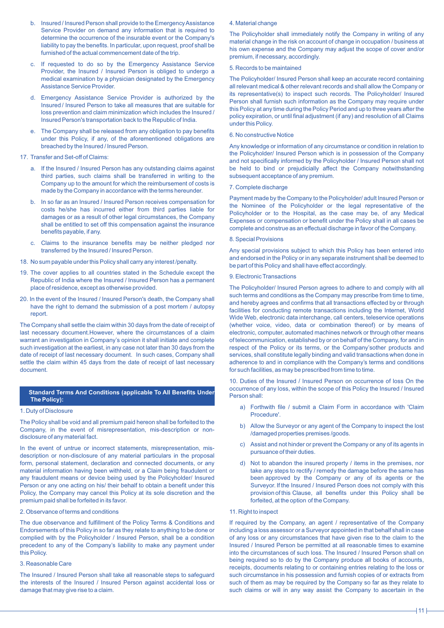- b. Insured / Insured Person shall provide to the Emergency Assistance Service Provider on demand any information that is required to determine the occurrence of the insurable event or the Company's liability to pay the benefits. In particular, upon request, proof shall be furnished of the actual commencement date of the trip.
- c. If requested to do so by the Emergency Assistance Service Provider, the Insured / Insured Person is obliged to undergo a medical examination by a physician designated by the Emergency Assistance Service Provider.
- d. Emergency Assistance Service Provider is authorized by the Insured / Insured Person to take all measures that are suitable for loss prevention and claim minimization which includes the Insured / Insured Person's transportation back to the Republic of India.
- e. The Company shall be released from any obligation to pay benefits under this Policy, if any, of the aforementioned obligations are breached by the Insured / Insured Person.
- 17. Transfer and Set-off of Claims:
	- a. If the Insured / Insured Person has any outstanding claims against third parties, such claims shall be transferred in writing to the Company up to the amount for which the reimbursement of costs is made by the Company in accordance with the terms hereunder.
	- b. In so far as an Insured / Insured Person receives compensation for costs he/she has incurred either from third parties liable for damages or as a result of other legal circumstances, the Company shall be entitled to set off this compensation against the insurance benefits payable, if any.
	- c. Claims to the insurance benefits may be neither pledged nor transferred by the Insured / Insured Person.
- 18. No sum payable under this Policy shall carry any interest /penalty.
- 19. The cover applies to all countries stated in the Schedule except the Republic of India where the Insured / Insured Person has a permanent place of residence, except as otherwise provided.
- 20. In the event of the Insured / Insured Person's death, the Company shall have the right to demand the submission of a post mortem / autopsy report.

The Company shall settle the claim within 30 days from the date of receipt of last necessary document.However, where the circumstances of a claim warrant an investigation in Company's opinion it shall initiate and complete such investigation at the earliest, in any case not later than 30 days from the date of receipt of last necessary document. In such cases, Company shall settle the claim within 45 days from the date of receipt of last necessary document.

# **Standard Terms And Conditions (applicable To All Benefits Under The Policy):**

# 1. Duty of Disclosure

The Policy shall be void and all premium paid hereon shall be forfeited to the Company, in the event of misrepresentation, mis-description or nondisclosure of any material fact.

In the event of untrue or incorrect statements, misrepresentation, misdescription or non-disclosure of any material particulars in the proposal form, personal statement, declaration and connected documents, or any material information having been withheld, or a Claim being fraudulent or any fraudulent means or device being used by the Policyholder/ Insured Person or any one acting on his/ their behalf to obtain a benefit under this Policy, the Company may cancel this Policy at its sole discretion and the premium paid shall be forfeited in its favor.

# 2. Observance of terms and conditions

The due observance and fulfillment of the Policy Terms & Conditions and Endorsements of this Policy in so far as they relate to anything to be done or complied with by the Policyholder / Insured Person, shall be a condition precedent to any of the Company's liability to make any payment under this Policy.

# 3. Reasonable Care

The Insured / Insured Person shall take all reasonable steps to safeguard the interests of the Insured / Insured Person against accidental loss or damage that may give rise to a claim.

#### 4. Material change

The Policyholder shall immediately notify the Company in writing of any material change in the risk on account of change in occupation / business at his own expense and the Company may adjust the scope of cover and/or premium, if necessary, accordingly.

#### 5. Records to be maintained

The Policyholder/ Insured Person shall keep an accurate record containing all relevant medical & other relevant records and shall allow the Company or its representative(s) to inspect such records. The Policyholder/ Insured Person shall furnish such information as the Company may require under this Policy at any time during the Policy Period and up to three years after the policy expiration, or until final adjustment (if any) and resolution of all Claims under this Policy.

#### 6. No constructive Notice

Any knowledge or information of any circumstance or condition in relation to the Policyholder/ Insured Person which is in possession of the Company and not specifically informed by the Policyholder / Insured Person shall not be held to bind or prejudicially affect the Company notwithstanding subsequent acceptance of any premium.

# 7. Complete discharge

Payment made by the Company to the Policyholder/ adult Insured Person or the Nominee of the Policyholder or the legal representative of the Policyholder or to the Hospital, as the case may be, of any Medical Expenses or compensation or benefit under the Policy shall in all cases be complete and construe as an effectual discharge in favor of the Company.

#### 8. Special Provisions

Any special provisions subject to which this Policy has been entered into and endorsed in the Policy or in any separate instrument shall be deemed to be part of this Policy and shall have effect accordingly.

# 9. Electronic Transactions

The Policyholder/ Insured Person agrees to adhere to and comply with all such terms and conditions as the Company may prescribe from time to time, and hereby agrees and confirms that all transactions effected by or through facilities for conducting remote transactions including the Internet, World Wide Web, electronic data interchange, call centers, teleservice operations (whether voice, video, data or combination thereof) or by means of electronic, computer, automated machines network or through other means of telecommunication, established by or on behalf of the Company, for and in respect of the Policy or its terms, or the Company'sother products and services, shall constitute legally binding and valid transactions when done in adherence to and in compliance with the Company's terms and conditions for such facilities, as may be prescribed from time to time.

10. Duties of the Insured / Insured Person on occurrence of loss On the occurrence of any loss, within the scope of this Policy the Insured / Insured Person shall:

- a) Forthwith file / submit a Claim Form in accordance with 'Claim Procedure'.
- b) Allow the Surveyor or any agent of the Company to inspect the lost /damaged properties premises /goods.
- c) Assist and not hinder or prevent the Company or any of its agents in pursuance of their duties.
- d) Not to abandon the insured property / items in the premises, nor take any steps to rectify / remedy the damage before the same has been approved by the Company or any of its agents or the Surveyor. If the Insured / Insured Person does not comply with this provision of this Clause, all benefits under this Policy shall be forfeited, at the option of the Company.

# 11. Right to inspect

If required by the Company, an agent / representative of the Company including a loss assessor or a Surveyor appointed in that behalf shall in case of any loss or any circumstances that have given rise to the claim to the Insured / Insured Person be permitted at all reasonable times to examine into the circumstances of such loss. The Insured / Insured Person shall on being required so to do by the Company produce all books of accounts, receipts, documents relating to or containing entries relating to the loss or such circumstance in his possession and furnish copies of or extracts from such of them as may be required by the Company so far as they relate to such claims or will in any way assist the Company to ascertain in the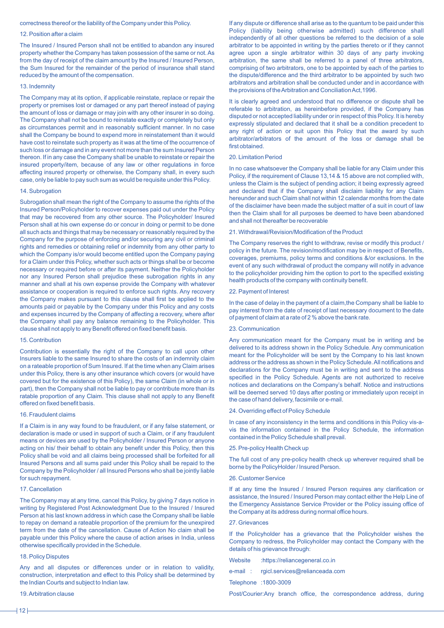# correctness thereof or the liability of the Company under this Policy.

#### 12. Position after a claim

The Insured / Insured Person shall not be entitled to abandon any insured property whether the Company has taken possession of the same or not. As from the day of receipt of the claim amount by the Insured / Insured Person, the Sum Insured for the remainder of the period of insurance shall stand reduced by the amount of the compensation.

# 13. Indemnity

The Company may at its option, if applicable reinstate, replace or repair the property or premises lost or damaged or any part thereof instead of paying the amount of loss or damage or may join with any other insurer in so doing. The Company shall not be bound to reinstate exactly or completely but only as circumstances permit and in reasonably sufficient manner. In no case shall the Company be bound to expend more in reinstatement than it would have cost to reinstate such property as it was at the time of the occurrence of such loss or damage and in any event not more than the sum Insured Person thereon. If in any case the Company shall be unable to reinstate or repair the insured property/item, because of any law or other regulations in force affecting insured property or otherwise, the Company shall, in every such case, only be liable to pay such sum as would be requisite under this Policy.

# 14. Subrogation

Subrogation shall mean the right of the Company to assume the rights of the Insured Person/Policyholder to recover expenses paid out under the Policy that may be recovered from any other source. The Policyholder/ Insured Person shall at his own expense do or concur in doing or permit to be done all such acts and things that may be necessary or reasonably required by the Company for the purpose of enforcing and/or securing any civil or criminal rights and remedies or obtaining relief or indemnity from any other party to which the Company is/or would become entitled upon the Company paying for a Claim under this Policy, whether such acts or things shall be or become necessary or required before or after its payment. Neither the Policyholder nor any Insured Person shall prejudice these subrogation rights in any manner and shall at his own expense provide the Company with whatever assistance or cooperation is required to enforce such rights. Any recovery the Company makes pursuant to this clause shall first be applied to the amounts paid or payable by the Company under this Policy and any costs and expenses incurred by the Company of affecting a recovery, where after the Company shall pay any balance remaining to the Policyholder. This clause shall not apply to any Benefit offered on fixed benefit basis.

#### 15. Contribution

Contribution is essentially the right of the Company to call upon other Insurers liable to the same Insured to share the costs of an indemnity claim on a rateable proportion of Sum Insured. If at the time when any Claim arises under this Policy, there is any other insurance which covers (or would have covered but for the existence of this Policy), the same Claim (in whole or in part), then the Company shall not be liable to pay or contribute more than its ratable proportion of any Claim. This clause shall not apply to any Benefit offered on fixed benefit basis.

#### 16. Fraudulent claims

If a Claim is in any way found to be fraudulent, or if any false statement, or declaration is made or used in support of such a Claim, or if any fraudulent means or devices are used by the Policyholder / Insured Person or anyone acting on his/ their behalf to obtain any benefit under this Policy, then this Policy shall be void and all claims being processed shall be forfeited for all Insured Persons and all sums paid under this Policy shall be repaid to the Company by the Policyholder / all Insured Persons who shall be jointly liable for such repayment.

#### 17. Cancellation

The Company may at any time, cancel this Policy, by giving 7 days notice in writing by Registered Post Acknowledgment Due to the Insured / Insured Person at his last known address in which case the Company shall be liable to repay on demand a rateable proportion of the premium for the unexpired term from the date of the cancellation. Cause of Action No claim shall be payable under this Policy where the cause of action arises in India, unless otherwise specifically provided in the Schedule.

#### 18. Policy Disputes

Any and all disputes or differences under or in relation to validity, construction, interpretation and effect to this Policy shall be determined by the Indian Courts and subject to Indian law.

#### 19. Arbitration clause

If any dispute or difference shall arise as to the quantum to be paid under this Policy (liability being otherwise admitted) such difference shall independently of all other questions be referred to the decision of a sole arbitrator to be appointed in writing by the parties thereto or if they cannot agree upon a single arbitrator within 30 days of any party invoking arbitration, the same shall be referred to a panel of three arbitrators, comprising of two arbitrators, one to be appointed by each of the parties to the dispute/difference and the third arbitrator to be appointed by such two arbitrators and arbitration shall be conducted under and in accordance with the provisions of the Arbitration and Conciliation Act,1996.

It is clearly agreed and understood that no difference or dispute shall be referable to arbitration, as hereinbefore provided, if the Company has disputed or not accepted liability under or in respect of this Policy. It is hereby expressly stipulated and declared that it shall be a condition precedent to any right of action or suit upon this Policy that the award by such arbitrator/arbitrators of the amount of the loss or damage shall be first obtained.

# 20. Limitation Period

In no case whatsoever the Company shall be liable for any Claim under this Policy, if the requirement of Clause 13,14 & 15 above are not complied with, unless the Claim is the subject of pending action; it being expressly agreed and declared that if the Company shall disclaim liability for any Claim hereunder and such Claim shall not within 12 calendar months from the date of the disclaimer have been made the subject matter of a suit in court of law then the Claim shall for all purposes be deemed to have been abandoned and shall not thereafter be recoverable

#### 21. Withdrawal/Revision/Modification of the Product

The Company reserves the right to withdraw, revise or modify this product / policy in the future. The revision/modification may be in respect of Benefits, coverages, premiums, policy terms and conditions &/or exclusions. In the event of any such withdrawal of product the company will notify in advance to the policyholder providing him the option to port to the specified existing health products of the company with continuity benefit.

#### 22. Payment of Interest

In the case of delay in the payment of a claim, the Company shall be liable to pay interest from the date of receipt of last necessary document to the date of payment of claim at a rate of 2 % above the bank rate.

#### 23. Communication

Any communication meant for the Company must be in writing and be delivered to its address shown in the Policy Schedule. Any communication meant for the Policyholder will be sent by the Company to his last known address or the address as shown in the Policy Schedule. All notifications and declarations for the Company must be in writing and sent to the address specified in the Policy Schedule. Agents are not authorized to receive notices and declarations on the Company's behalf. Notice and instructions will be deemed served 10 days after posting or immediately upon receipt in the case of hand delivery, facsimile or e-mail.

### 24. Overriding effect of Policy Schedule

In case of any inconsistency in the terms and conditions in this Policy vis-avis the information contained in the Policy Schedule, the information contained in the Policy Schedule shall prevail.

#### 25. Pre-policy Health Check up

The full cost of any pre-policy health check up wherever required shall be borne by the PolicyHolder / Insured Person.

#### 26. Customer Service

If at any time the Insured / Insured Person requires any clarification or assistance, the Insured / Insured Person may contact either the Help Line of the Emergency Assistance Service Provider or the Policy issuing office of the Company at its address during normal office hours.

#### 27. Grievances

If the Policyholder has a grievance that the Policyholder wishes the Company to redress, the Policyholder may contact the Company with the details of his grievance through:

Website :https://reliancegeneral.co.in

e-mail : rgicl.services@relianceada.com

Telephone : 1800-3009

Post/Courier: Any branch office, the correspondence address, during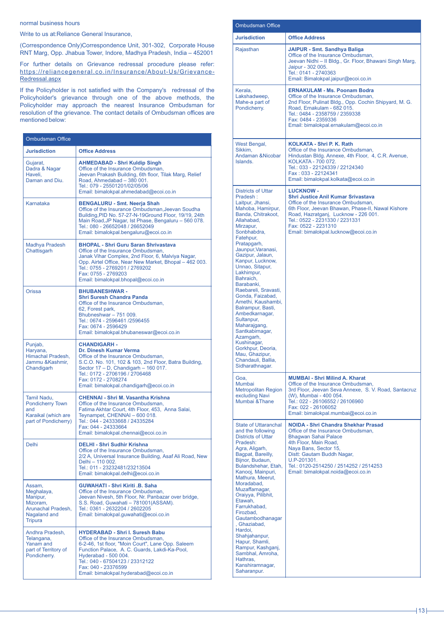normal business hours

Write to us at: Reliance General Insurance,

(Correspondence Only) Correspondence Unit, 301-302, Corporate House RNT Marg, Opp. Jhabua Tower, Indore, Madhya Pradesh, India – 452001

For further details on Grievance redressal procedure please refer: https://reliancegeneral.co.in/Insurance/About-Us/Grievance-Redressal.aspx

If the Policyholder is not satisfied with the Company's redressal of the Policyholder's grievance through one of the above methods, the Policyholder may approach the nearest Insurance Ombudsman for resolution of the grievance. The contact details of Ombudsman offices are mentioned below:

| <b>Ombudsman Office</b>                                                                              |                                                                                                                                                                                                                                                                                                                |
|------------------------------------------------------------------------------------------------------|----------------------------------------------------------------------------------------------------------------------------------------------------------------------------------------------------------------------------------------------------------------------------------------------------------------|
| <b>Jurisdiction</b>                                                                                  | <b>Office Address</b>                                                                                                                                                                                                                                                                                          |
| Gujarat,<br>Dadra & Nagar<br>Haveli,<br>Daman and Diu.                                               | <b>AHMEDABAD - Shri Kuldip Singh</b><br>Office of the Insurance Ombudsman,<br>Jeevan Prakash Building, 6th floor, Tilak Marg, Relief<br>Road, Ahmedabad - 380 001.<br>Tel.: 079 - 25501201/02/05/06<br>Email: bimalokpal.ahmedabad@ecoi.co.in                                                                  |
| Karnataka                                                                                            | <b>BENGALURU - Smt. Neerja Shah</b><br>Office of the Insurance Ombudsman, Jeevan Soudha<br>Building, PID No. 57-27-N-19Ground Floor, 19/19, 24th<br>Main Road, JP Nagar, Ist Phase, Bengaluru - 560 078.<br>Tel.: 080 - 26652048 / 26652049<br>Email: bimalokpal.bengaluru@ecoi.co.in                          |
| <b>Madhya Pradesh</b><br>Chattisgarh                                                                 | <b>BHOPAL - Shri Guru Saran Shrivastava</b><br>Office of the Insurance Ombudsman,<br>Janak Vihar Complex, 2nd Floor, 6, Malviya Nagar,<br>Opp. Airtel Office, Near New Market, Bhopal - 462 003.<br>Tel.: 0755 - 2769201 / 2769202<br>Fax: 0755 - 2769203<br>Email: bimalokpal.bhopal@ecoi.co.in               |
| Orissa                                                                                               | <b>BHUBANESHWAR-</b><br><b>Shri Suresh Chandra Panda</b><br>Office of the Insurance Ombudsman,<br>62, Forest park,<br>Bhubneshwar - 751 009.<br>Tel.: 0674 - 2596461 /2596455<br>Fax: 0674 - 2596429<br>Email: bimalokpal.bhubaneswar@ecoi.co.in                                                               |
| Punjab,<br>Haryana,<br>Himachal Pradesh,<br>Jammu & Kashmir,<br>Chandigarh                           | <b>CHANDIGARH -</b><br>Dr. Dinesh Kumar Verma<br>Office of the Insurance Ombudsman,<br>S.C.O. No. 101, 102 & 103, 2nd Floor, Batra Building,<br>Sector 17 - D, Chandigarh - 160 017.<br>Tel.: 0172 - 2706196 / 2706468<br>Fax: 0172 - 2708274<br>Email: bimalokpal.chandigarh@ecoi.co.in                       |
| Tamil Nadu,<br><b>Pondicherry Town</b><br>and<br>Karaikal (which are<br>part of Pondicherry)         | <b>CHENNAI - Shri M. Vasantha Krishna</b><br>Office of the Insurance Ombudsman,<br>Fatima Akhtar Court, 4th Floor, 453, Anna Salai,<br>Teynampet, CHENNAI - 600 018.<br>Tel.: 044 - 24333668 / 24335284<br>Fax: 044 - 24333664<br>Email: bimalokpal.chennai@ecoi.co.in                                         |
| <b>Delhi</b>                                                                                         | <b>DELHI - Shri Sudhir Krishna</b><br>Office of the Insurance Ombudsman.<br>2/2 A, Universal Insurance Building, Asaf Ali Road, New<br>Delhi - 110 002.<br>Tel.: 011 - 23232481/23213504<br>Email: bimalokpal.delhi@ecoi.co.in                                                                                 |
| Assam,<br>Meghalaya,<br>Manipur,<br>Mizoram,<br>Arunachal Pradesh,<br>Nagaland and<br><b>Tripura</b> | <b>GUWAHATI - Shri Kiriti .B. Saha</b><br>Office of the Insurance Ombudsman.<br>Jeevan Nivesh, 5th Floor, Nr. Panbazar over bridge,<br>S.S. Road, Guwahati - 781001(ASSAM).<br>Tel.: 0361 - 2632204 / 2602205<br>Email: bimalokpal.quwahati@ecoi.co.in                                                         |
| Andhra Pradesh.<br>Telangana.<br>Yanam and<br>part of Territory of<br>Pondicherry.                   | <b>HYDERABAD - Shri I. Suresh Babu</b><br>Office of the Insurance Ombudsman,<br>6-2-46, 1st floor, "Moin Court", Lane Opp. Saleem<br>Function Palace, A. C. Guards, Lakdi-Ka-Pool,<br>Hyderabad - 500 004.<br>Tel.: 040 - 67504123 / 23312122<br>Fax: 040 - 23376599<br>Email: bimalokpal.hyderabad@ecoi.co.in |

| <b>Ombudsman Office</b>                                                                                                                                                                                                                                                                                                                                                                                                                                                                                                                                                    |                                                                                                                                                                                                                                                                                                   |
|----------------------------------------------------------------------------------------------------------------------------------------------------------------------------------------------------------------------------------------------------------------------------------------------------------------------------------------------------------------------------------------------------------------------------------------------------------------------------------------------------------------------------------------------------------------------------|---------------------------------------------------------------------------------------------------------------------------------------------------------------------------------------------------------------------------------------------------------------------------------------------------|
| <b>Jurisdiction</b>                                                                                                                                                                                                                                                                                                                                                                                                                                                                                                                                                        | <b>Office Address</b>                                                                                                                                                                                                                                                                             |
| Rajasthan                                                                                                                                                                                                                                                                                                                                                                                                                                                                                                                                                                  | <b>JAIPUR - Smt. Sandhya Baliga</b><br>Office of the Insurance Ombudsman,<br>Jeevan Nidhi - II Bldg., Gr. Floor, Bhawani Singh Marg,<br>Jaipur - 302 005.<br>Tel.: 0141 - 2740363<br>Email: Bimalokpal.jaipur@ecoi.co.in                                                                          |
| Kerala,<br>Lakshadweep,<br>Mahe-a part of<br>Pondicherry.                                                                                                                                                                                                                                                                                                                                                                                                                                                                                                                  | <b>ERNAKULAM - Ms. Poonam Bodra</b><br>Office of the Insurance Ombudsman,<br>2nd Floor, Pulinat Bldg., Opp. Cochin Shipyard, M. G.<br>Road, Ernakulam - 682 015.<br>Tel.: 0484 - 2358759 / 2359338<br>Fax: 0484 - 2359336<br>Email: bimalokpal.ernakulam@ecoi.co.in                               |
| West Bengal,<br>Sikkim,<br>Andaman & Nicobar<br>Islands.                                                                                                                                                                                                                                                                                                                                                                                                                                                                                                                   | <b>KOLKATA - Shri P. K. Rath</b><br>Office of the Insurance Ombudsman,<br>Hindustan Bldg. Annexe, 4th Floor, 4, C.R. Avenue,<br>KOLKATA - 700 072.<br>Tel.: 033 - 22124339 / 22124340<br>Fax: 033 - 22124341<br>Email: bimalokpal.kolkata@ecoi.co.in                                              |
| <b>Districts of Uttar</b><br>Pradesh:<br>Laitpur, Jhansi,<br>Mahoba, Hamirpur,<br>Banda, Chitrakoot,<br>Allahabad,<br>Mirzapur,<br>Sonbhabdra,<br>Fatehpur,<br>Pratapgarh,<br>Jaunpur, Varanasi,<br>Gazipur, Jalaun,<br>Kanpur, Lucknow,<br>Unnao, Sitapur,<br>Lakhimpur,<br>Bahraich,<br>Barabanki,<br>Raebareli, Sravasti,<br>Gonda, Faizabad,<br>Amethi, Kaushambi,<br>Balrampur, Basti,<br>Ambedkarnagar,<br>Sultanpur,<br>Maharajgang,<br>Santkabirnagar,<br>Azamgarh,<br>Kushinagar,<br>Gorkhpur, Deoria,<br>Mau. Ghazipur.<br>Chandauli, Ballia,<br>Sidharathnagar. | <b>LUCKNOW -</b><br><b>Shri Justice Anil Kumar Srivastava</b><br>Office of the Insurance Ombudsman,<br>6th Floor, Jeevan Bhawan, Phase-II, Nawal Kishore<br>Road, Hazratganj, Lucknow - 226 001.<br>Tel.: 0522 - 2231330 / 2231331<br>Fax: 0522 - 2231310<br>Email: bimalokpal.lucknow@ecoi.co.in |
| Goa.<br>Mumbai<br><b>Metropolitan Region</b><br>excluding Navi<br>Mumbai & Thane                                                                                                                                                                                                                                                                                                                                                                                                                                                                                           | <b>MUMBAI - Shri Milind A. Kharat</b><br>Office of the Insurance Ombudsman,<br>3rd Floor, Jeevan Seva Annexe, S. V. Road, Santacruz<br>(W), Mumbai - 400 054.<br>Tel.: 022 - 26106552 / 26106960<br>Fax: 022 - 26106052<br>Email: bimalokpal.mumbai@ecoi.co.in                                    |
| <b>State of Uttaranchal</b><br>and the following<br><b>Districts of Uttar</b><br>Pradesh:<br>Agra, Aligarh,<br>Bagpat, Bareilly,<br>Bijnor, Budaun,<br>Bulandshehar, Etah,<br>Kanooj, Mainpuri,<br>Mathura, Meerut,<br>Moradabad.<br>Muzaffarnagar,<br>Oraiyya, Pilibhit,<br>Etawah,<br>Farrukhabad,<br>Firozbad,<br>Gautambodhanagar<br>, Ghaziabad,<br>Hardoi,<br>Shahjahanpur,<br>Hapur, Shamli,<br>Rampur, Kashganj,<br>Sambhal, Amroha,<br>Hathras,<br>Kanshiramnagar,<br>Saharanpur.                                                                                 | <b>NOIDA - Shri Chandra Shekhar Prasad</b><br>Office of the Insurance Ombudsman.<br><b>Bhagwan Sahai Palace</b><br>4th Floor, Main Road,<br>Naya Bans, Sector 15,<br>Distt: Gautam Buddh Nagar,<br>U.P-201301.<br>Tel.: 0120-2514250 / 2514252 / 2514253<br>Email: bimalokpal.noida@ecoi.co.in    |